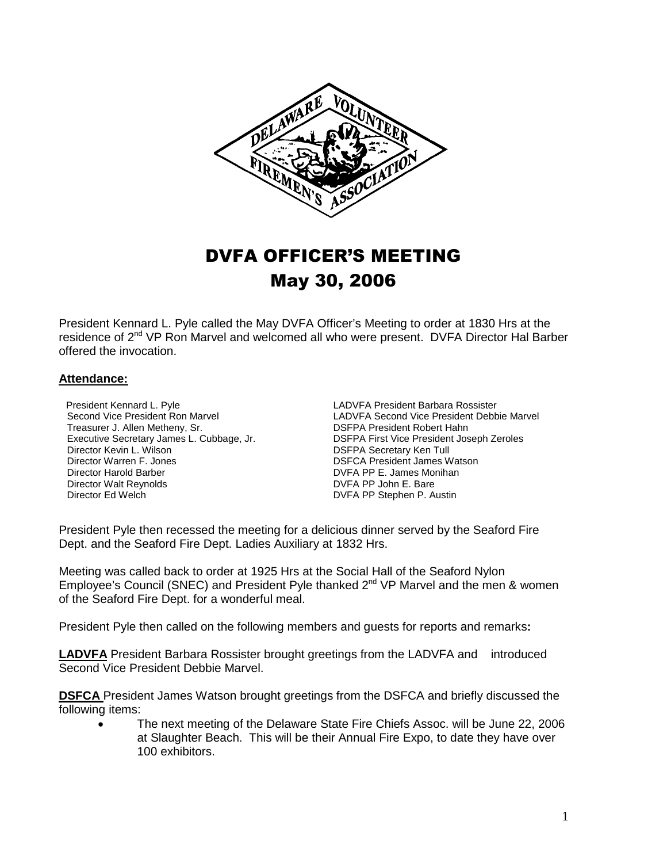

## DVFA OFFICER'S MEETING May 30, 2006

President Kennard L. Pyle called the May DVFA Officer's Meeting to order at 1830 Hrs at the residence of 2<sup>nd</sup> VP Ron Marvel and welcomed all who were present. DVFA Director Hal Barber offered the invocation.

## **Attendance:**

President Kennard L. Pyle LADVFA President Barbara Rossister Treasurer J. Allen Metheny, Sr.<br>Executive Secretary James L. Cubbage, Jr. Director Kevin L. Wilson **Director Kevin L. Wilson** Director Warren F. Jones **Director Warren F. Jones Director Warren** Director Warren Director Warren Director Warren Director Warren Director Warren Director Warren Direct Director Warren F. Jones<br>
DIRECTOR President James Watson<br>
DIRECTOR PP E. James Monihan Director Walt Reynolds **DVFA PP John E. Bare** Director Ed Welch DVFA PP Stephen P. Austin

Second Vice President Ron Marvel **LADVFA Second Vice President Debbie Marvel**<br>
Treasurer J. Allen Metheny, Sr. **Land Constant COSEPA President Robert Hahn** Executive Secretary James L. Cubbage, Jr. **DSFPA First Vice President Joseph Zeroles**<br>DSFPA Secretary Ken Tull<br>DSFPA Secretary Ken Tull DVFA PP E. James Monihan

President Pyle then recessed the meeting for a delicious dinner served by the Seaford Fire Dept. and the Seaford Fire Dept. Ladies Auxiliary at 1832 Hrs.

Meeting was called back to order at 1925 Hrs at the Social Hall of the Seaford Nylon Employee's Council (SNEC) and President Pyle thanked  $2^{nd}$  VP Marvel and the men & women of the Seaford Fire Dept. for a wonderful meal.

President Pyle then called on the following members and guests for reports and remarks**:**

**LADVFA** President Barbara Rossister brought greetings from the LADVFA and introduced Second Vice President Debbie Marvel.

**DSFCA** President James Watson brought greetings from the DSFCA and briefly discussed the following items:

• The next meeting of the Delaware State Fire Chiefs Assoc. will be June 22, 2006 at Slaughter Beach. This will be their Annual Fire Expo, to date they have over 100 exhibitors.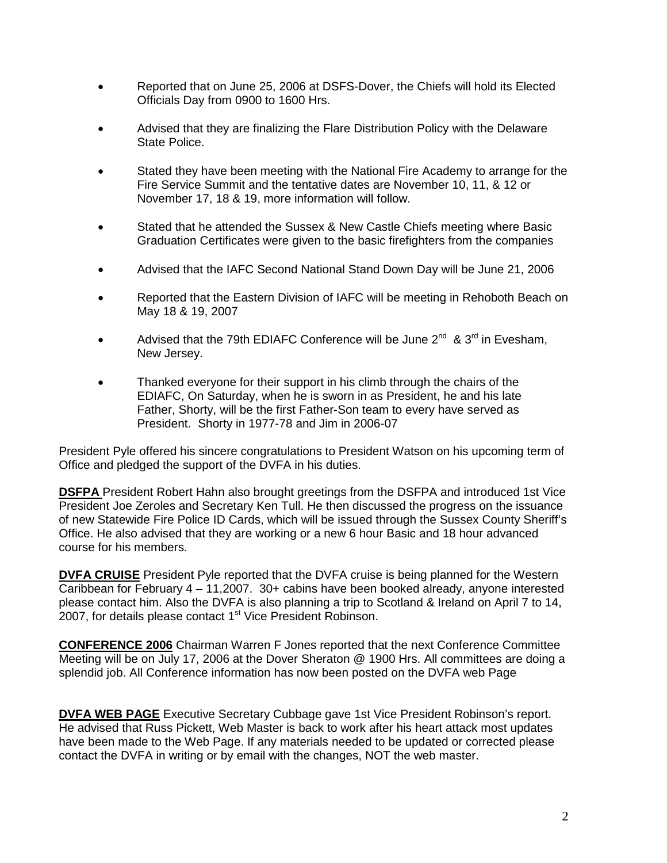- Reported that on June 25, 2006 at DSFS-Dover, the Chiefs will hold its Elected Officials Day from 0900 to 1600 Hrs.
- Advised that they are finalizing the Flare Distribution Policy with the Delaware State Police.
- Stated they have been meeting with the National Fire Academy to arrange for the Fire Service Summit and the tentative dates are November 10, 11, & 12 or November 17, 18 & 19, more information will follow.
- Stated that he attended the Sussex & New Castle Chiefs meeting where Basic Graduation Certificates were given to the basic firefighters from the companies
- Advised that the IAFC Second National Stand Down Day will be June 21, 2006
- Reported that the Eastern Division of IAFC will be meeting in Rehoboth Beach on May 18 & 19, 2007
- Advised that the 79th EDIAFC Conference will be June  $2^{nd}$  &  $3^{rd}$  in Evesham, New Jersey.
- Thanked everyone for their support in his climb through the chairs of the EDIAFC, On Saturday, when he is sworn in as President, he and his late Father, Shorty, will be the first Father-Son team to every have served as President. Shorty in 1977-78 and Jim in 2006-07

President Pyle offered his sincere congratulations to President Watson on his upcoming term of Office and pledged the support of the DVFA in his duties.

**DSFPA** President Robert Hahn also brought greetings from the DSFPA and introduced 1st Vice President Joe Zeroles and Secretary Ken Tull. He then discussed the progress on the issuance of new Statewide Fire Police ID Cards, which will be issued through the Sussex County Sheriff's Office. He also advised that they are working or a new 6 hour Basic and 18 hour advanced course for his members.

**DVFA CRUISE** President Pyle reported that the DVFA cruise is being planned for the Western Caribbean for February 4 – 11,2007. 30+ cabins have been booked already, anyone interested please contact him. Also the DVFA is also planning a trip to Scotland & Ireland on April 7 to 14, 2007, for details please contact 1<sup>st</sup> Vice President Robinson.

**CONFERENCE 2006** Chairman Warren F Jones reported that the next Conference Committee Meeting will be on July 17, 2006 at the Dover Sheraton @ 1900 Hrs. All committees are doing a splendid job. All Conference information has now been posted on the DVFA web Page

**DVFA WEB PAGE** Executive Secretary Cubbage gave 1st Vice President Robinson's report. He advised that Russ Pickett, Web Master is back to work after his heart attack most updates have been made to the Web Page. If any materials needed to be updated or corrected please contact the DVFA in writing or by email with the changes, NOT the web master.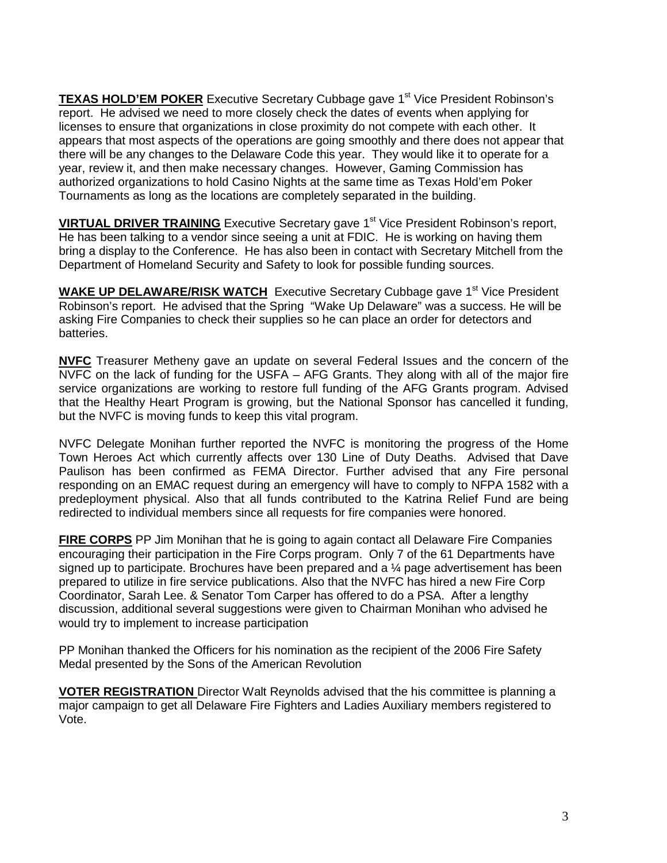**TEXAS HOLD'EM POKER** Executive Secretary Cubbage gave 1<sup>st</sup> Vice President Robinson's report. He advised we need to more closely check the dates of events when applying for licenses to ensure that organizations in close proximity do not compete with each other. It appears that most aspects of the operations are going smoothly and there does not appear that there will be any changes to the Delaware Code this year. They would like it to operate for a year, review it, and then make necessary changes. However, Gaming Commission has authorized organizations to hold Casino Nights at the same time as Texas Hold'em Poker Tournaments as long as the locations are completely separated in the building.

**VIRTUAL DRIVER TRAINING** Executive Secretary gave 1<sup>st</sup> Vice President Robinson's report, He has been talking to a vendor since seeing a unit at FDIC. He is working on having them bring a display to the Conference. He has also been in contact with Secretary Mitchell from the Department of Homeland Security and Safety to look for possible funding sources.

**WAKE UP DELAWARE/RISK WATCH** Executive Secretary Cubbage gave 1<sup>st</sup> Vice President Robinson's report. He advised that the Spring "Wake Up Delaware" was a success. He will be asking Fire Companies to check their supplies so he can place an order for detectors and batteries.

**NVFC** Treasurer Metheny gave an update on several Federal Issues and the concern of the NVFC on the lack of funding for the USFA – AFG Grants. They along with all of the major fire service organizations are working to restore full funding of the AFG Grants program. Advised that the Healthy Heart Program is growing, but the National Sponsor has cancelled it funding, but the NVFC is moving funds to keep this vital program.

NVFC Delegate Monihan further reported the NVFC is monitoring the progress of the Home Town Heroes Act which currently affects over 130 Line of Duty Deaths. Advised that Dave Paulison has been confirmed as FEMA Director. Further advised that any Fire personal responding on an EMAC request during an emergency will have to comply to NFPA 1582 with a predeployment physical. Also that all funds contributed to the Katrina Relief Fund are being redirected to individual members since all requests for fire companies were honored.

**FIRE CORPS** PP Jim Monihan that he is going to again contact all Delaware Fire Companies encouraging their participation in the Fire Corps program. Only 7 of the 61 Departments have signed up to participate. Brochures have been prepared and a  $\frac{1}{4}$  page advertisement has been prepared to utilize in fire service publications. Also that the NVFC has hired a new Fire Corp Coordinator, Sarah Lee. & Senator Tom Carper has offered to do a PSA. After a lengthy discussion, additional several suggestions were given to Chairman Monihan who advised he would try to implement to increase participation

PP Monihan thanked the Officers for his nomination as the recipient of the 2006 Fire Safety Medal presented by the Sons of the American Revolution

**VOTER REGISTRATION** Director Walt Reynolds advised that the his committee is planning a major campaign to get all Delaware Fire Fighters and Ladies Auxiliary members registered to Vote.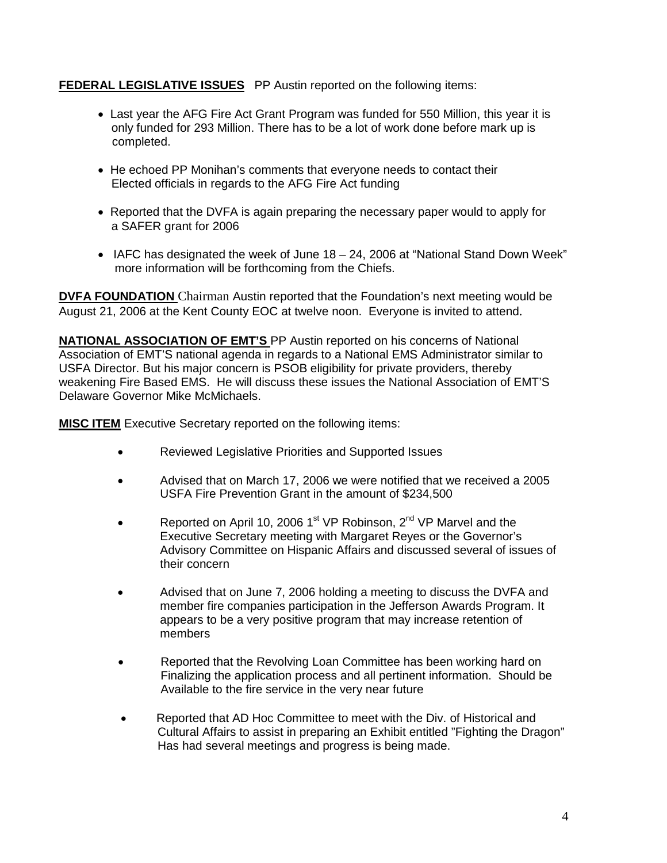## **FEDERAL LEGISLATIVE ISSUES** PP Austin reported on the following items:

- Last year the AFG Fire Act Grant Program was funded for 550 Million, this year it is only funded for 293 Million. There has to be a lot of work done before mark up is completed.
- He echoed PP Monihan's comments that everyone needs to contact their Elected officials in regards to the AFG Fire Act funding
- Reported that the DVFA is again preparing the necessary paper would to apply for a SAFER grant for 2006
- IAFC has designated the week of June 18 24, 2006 at "National Stand Down Week" more information will be forthcoming from the Chiefs.

**DVFA FOUNDATION** Chairman Austin reported that the Foundation's next meeting would be August 21, 2006 at the Kent County EOC at twelve noon. Everyone is invited to attend.

**NATIONAL ASSOCIATION OF EMT'S** PP Austin reported on his concerns of National Association of EMT'S national agenda in regards to a National EMS Administrator similar to USFA Director. But his major concern is PSOB eligibility for private providers, thereby weakening Fire Based EMS. He will discuss these issues the National Association of EMT'S Delaware Governor Mike McMichaels.

**MISC ITEM** Executive Secretary reported on the following items:

- Reviewed Legislative Priorities and Supported Issues
- Advised that on March 17, 2006 we were notified that we received a 2005 USFA Fire Prevention Grant in the amount of \$234,500
- Reported on April 10, 2006 1<sup>st</sup> VP Robinson,  $2^{nd}$  VP Marvel and the Executive Secretary meeting with Margaret Reyes or the Governor's Advisory Committee on Hispanic Affairs and discussed several of issues of their concern
- Advised that on June 7, 2006 holding a meeting to discuss the DVFA and member fire companies participation in the Jefferson Awards Program. It appears to be a very positive program that may increase retention of members
- Reported that the Revolving Loan Committee has been working hard on Finalizing the application process and all pertinent information. Should be Available to the fire service in the very near future
- •Reported that AD Hoc Committee to meet with the Div. of Historical and Cultural Affairs to assist in preparing an Exhibit entitled "Fighting the Dragon" Has had several meetings and progress is being made.